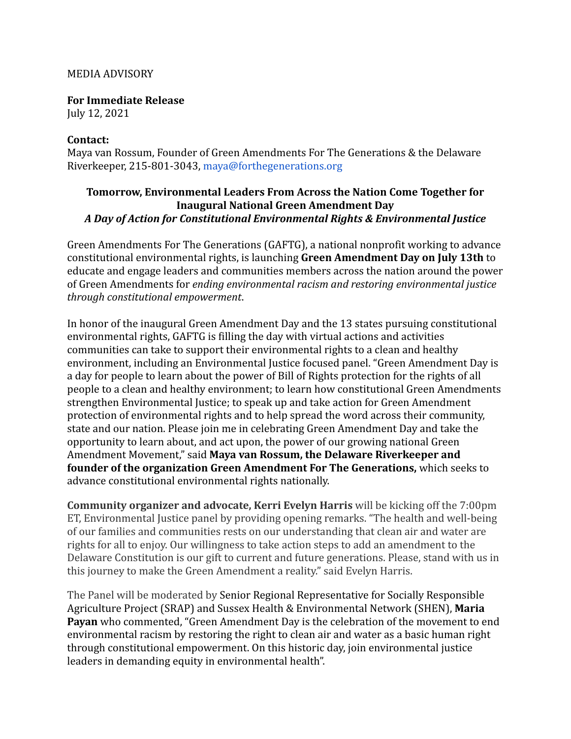## MEDIA ADVISORY

**For Immediate Release** July 12, 2021

## **Contact:**

Maya van Rossum, Founder of Green Amendments For The Generations & the Delaware Riverkeeper, 215-801-3043, maya@forthegenerations.org

## **Tomorrow, Environmental Leaders From Across the Nation Come Together for Inaugural National Green Amendment Day** *A Day of Action for Constitutional Environmental Rights & Environmental Justice*

Green Amendments For The Generations (GAFTG), a national nonprofit working to advance constitutional environmental rights, is launching **Green Amendment Day on July 13th** to educate and engage leaders and communities members across the nation around the power of Green Amendments for *ending environmental racism and restoring environmental justice through constitutional empowerment*.

In honor of the inaugural Green Amendment Day and the 13 states pursuing constitutional environmental rights, GAFTG is filling the day with virtual actions and activities communities can take to support their environmental rights to a clean and healthy environment, including an Environmental Justice focused panel. "Green Amendment Day is a day for people to learn about the power of Bill of Rights protection for the rights of all people to a clean and healthy environment; to learn how constitutional Green Amendments strengthen Environmental Justice; to speak up and take action for Green Amendment protection of environmental rights and to help spread the word across their community, state and our nation. Please join me in celebrating Green Amendment Day and take the opportunity to learn about, and act upon, the power of our growing national Green Amendment Movement," said **Maya van Rossum, the Delaware Riverkeeper and founder of the organization Green Amendment For The Generations,** which seeks to advance constitutional environmental rights nationally.

**Community organizer and advocate, Kerri Evelyn Harris** will be kicking off the 7:00pm ET, Environmental Justice panel by providing opening remarks. "The health and well-being of our families and communities rests on our understanding that clean air and water are rights for all to enjoy. Our willingness to take action steps to add an amendment to the Delaware Constitution is our gift to current and future generations. Please, stand with us in this journey to make the Green Amendment a reality." said Evelyn Harris.

The Panel will be moderated by Senior Regional Representative for Socially Responsible Agriculture Project (SRAP) and Sussex Health & Environmental Network (SHEN), **Maria Payan** who commented, "Green Amendment Day is the celebration of the movement to end environmental racism by restoring the right to clean air and water as a basic human right through constitutional empowerment. On this historic day, join environmental justice leaders in demanding equity in environmental health".